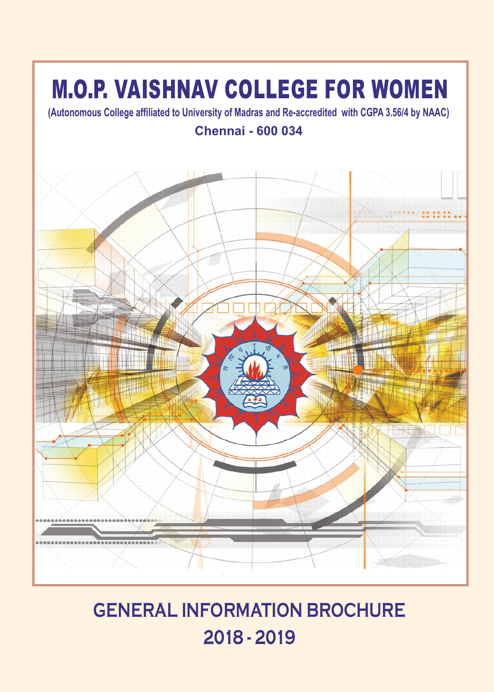### M.O.P. VAISHNAV COLLEGE FOR WOMEN

**(Autonomous College affiliated to University of Madras and Re-accredited with CGPA 3.56/4 by NAAC) Chennai - 600 034**



### **GENERAL INFORMATION BROCHURE 2018 - 2019**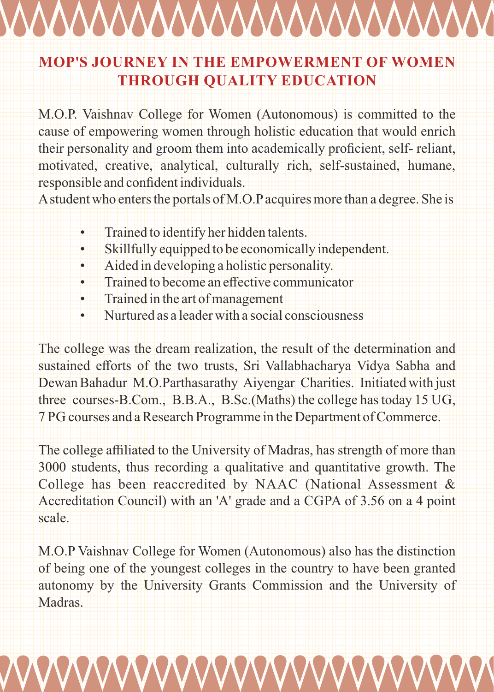# <u>VVVVVVVVVVVVVVVVVVV</u>

#### **MOP'S JOURNEY IN THE EMPOWERMENT OF WOMEN THROUGH QUALITY EDUCATION**

M.O.P. Vaishnav College for Women (Autonomous) is committed to the cause of empowering women through holistic education that would enrich their personality and groom them into academically proficient, self- reliant, motivated, creative, analytical, culturally rich, self-sustained, humane, responsible and confident individuals.

Astudent who enters the portals of M.O.Pacquires more than a degree. She is

- Trained to identify her hidden talents.
- Skillfully equipped to be economically independent.
- Aided in developing a holistic personality.
- Trained to become an effective communicator
- Trained in the art of management
- Nurtured as a leader with a social consciousness

The college was the dream realization, the result of the determination and sustained efforts of the two trusts, Sri Vallabhacharya Vidya Sabha and Dewan Bahadur M.O.Parthasarathy Aiyengar Charities. Initiated with just three courses-B.Com., B.B.A., B.Sc.(Maths) the college has today 15 UG, 7 PG courses and a Research Programme in the Department of Commerce.

The college affiliated to the University of Madras, has strength of more than 3000 students, thus recording a qualitative and quantitative growth. The College has been reaccredited by NAAC (National Assessment & Accreditation Council) with an 'A' grade and a CGPA of 3.56 on a 4 point scale.

M.O.P Vaishnav College for Women (Autonomous) also has the distinction of being one of the youngest colleges in the country to have been granted autonomy by the University Grants Commission and the University of **Madras**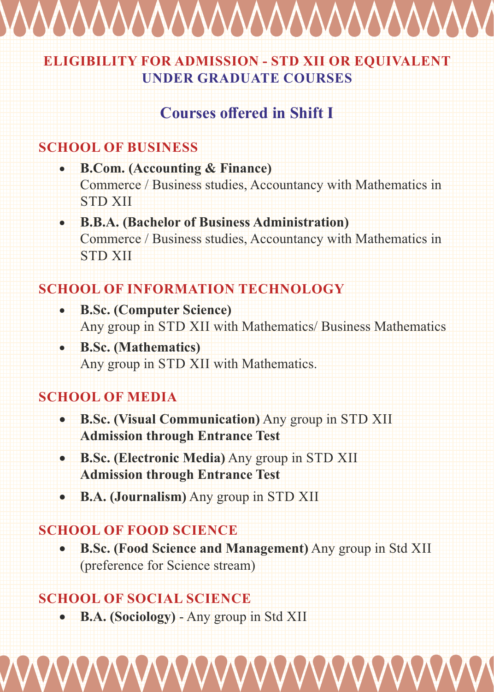

#### **ELIGIBILITY FOR ADMISSION - STD XII OR EQUIVALENT UNDER GRADUATE COURSES**

#### **Courses offered in Shift I**

#### **SCHOOL OF BUSINESS**

- **B.Com. (Accounting & Finance)** Commerce / Business studies, Accountancy with Mathematics in STD XII
- **B.B.A. (Bachelor of Business Administration)** Commerce / Business studies, Accountancy with Mathematics in STD XII

#### **SCHOOL OF INFORMATION TECHNOLOGY**

- **B.Sc. (Computer Science)** Any group in STD XII with Mathematics/ Business Mathematics
- **B.Sc. (Mathematics)** Any group in STD XII with Mathematics.

#### **SCHOOL OF MEDIA**

- **B.Sc. (Visual Communication)** Any group in STD XII **Admission through Entrance Test**
- **B.Sc. (Electronic Media)** Any group in STD XII **Admission through Entrance Test**
- **B.A. (Journalism)** Any group in STD XII

#### **SCHOOL OF FOOD SCIENCE**

 **B.Sc. (Food Science and Management)** Any group in Std XII (preference for Science stream)

#### **SCHOOL OF SOCIAL SCIENCE**

**B.A. (Sociology)** - Any group in Std XII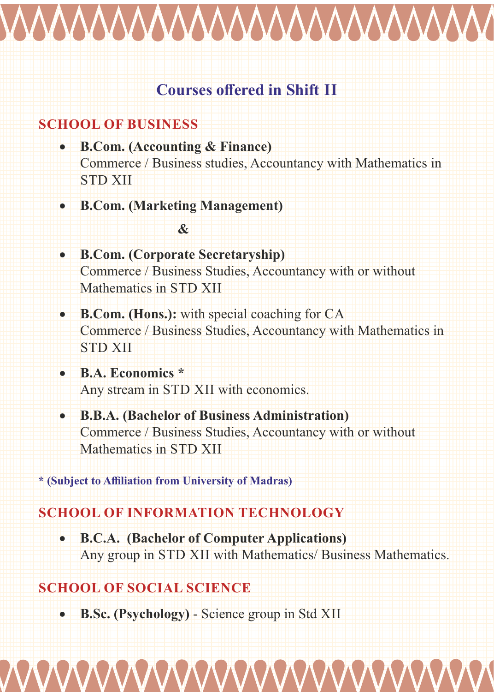

#### **Courses offered in Shift II**

#### **SCHOOL OF BUSINESS**

- **B.Com. (Accounting & Finance)** Commerce / Business studies, Accountancy with Mathematics in STD XII
- **B.Com. (Marketing Management)**

#### **&**

- **B.Com. (Corporate Secretaryship)** Commerce / Business Studies, Accountancy with or without Mathematics in STD XII
- **B.Com. (Hons.):** with special coaching for CA Commerce / Business Studies, Accountancy with Mathematics in STD XII
- **B.A. Economics \*** Any stream in STD XII with economics.
- **B.B.A. (Bachelor of Business Administration)** Commerce / Business Studies, Accountancy with or without Mathematics in STD XII

**\* (Subject to Affiliation from University of Madras)**

#### **SCHOOL OF INFORMATION TECHNOLOGY**

 **B.C.A. (Bachelor of Computer Applications)** Any group in STD XII with Mathematics/ Business Mathematics.

#### **SCHOOL OF SOCIAL SCIENCE**

**B.Sc. (Psychology)** - Science group in Std XII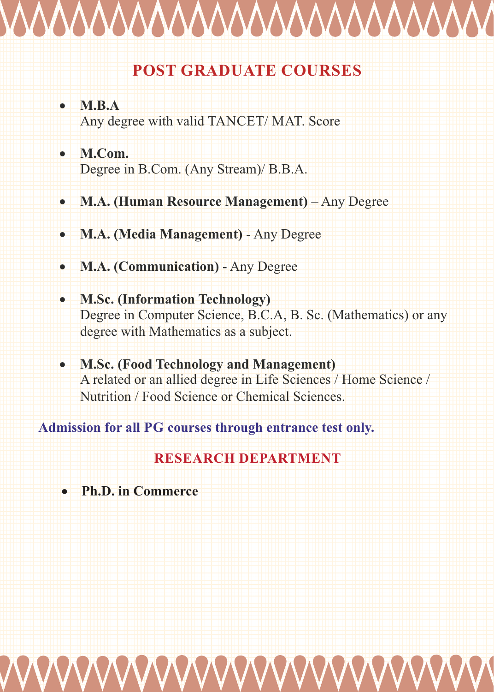# WWWWWWWWWWW

#### **POST GRADUATE COURSES**

- **M.B.A** Any degree with valid TANCET/ MAT. Score
- **M.Com.** Degree in B.Com. (Any Stream)/ B.B.A.
- **M.A. (Human Resource Management)** Any Degree
- **M.A. (Media Management)** Any Degree
- **M.A. (Communication)** Any Degree
- **M.Sc. (Information Technology)** Degree in Computer Science, B.C.A, B. Sc. (Mathematics) or any degree with Mathematics as a subject.
- **M.Sc. (Food Technology and Management)** A related or an allied degree in Life Sciences / Home Science / Nutrition / Food Science or Chemical Sciences.

**Admission for all PG courses through entrance test only.**

#### **RESEARCH DEPARTMENT**

**Ph.D. in Commerce**